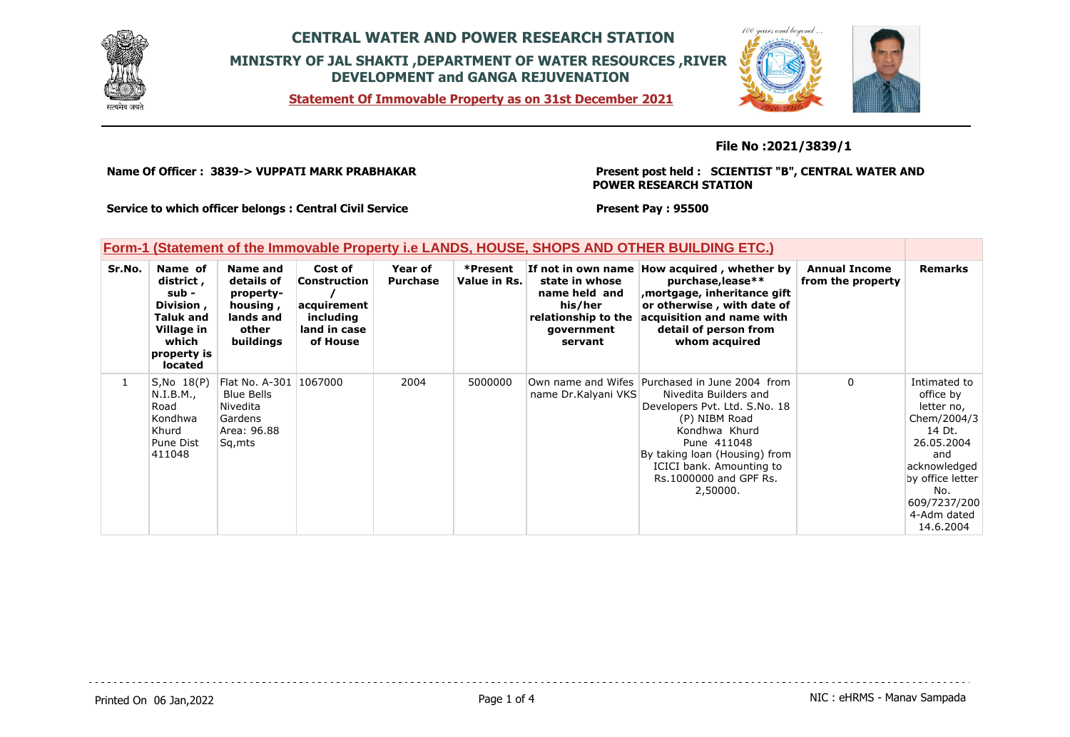

**Statement Of Immovable Property as on 31st December 2021**



**File No :2021/3839/1**

**Name Of Officer : 3839-> VUPPATI MARK PRABHAKAR** 

**Present post held : SCIENTIST "B", CENTRAL WATER AND POWER RESEARCH STATION**

**Service to which officer belongs : Central Civil Service**

**Present Pay : 95500**

| Form-1 (Statement of the Immovable Property i.e LANDS, HOUSE, SHOPS AND OTHER BUILDING ETC.) |  |  |  |
|----------------------------------------------------------------------------------------------|--|--|--|
|                                                                                              |  |  |  |

| Sr.No. | Name of<br>district,<br>sub -<br>Division,<br><b>Taluk and</b><br>Village in<br>which<br>property is<br><b>located</b> | Name and<br>details of<br>property-<br>housing,<br>lands and<br>other<br>buildings          | Cost of<br><b>Construction</b><br>acquirement<br>including<br>land in case<br>of House | Year of<br><b>Purchase</b> | *Present<br>Value in Rs. | state in whose<br>name held and<br>his/her<br>relationship to the<br>government<br>servant | If not in own name How acquired, whether by<br>purchase, lease**<br>mortgage, inheritance gift,<br>or otherwise, with date of<br>acquisition and name with<br>detail of person from<br>whom acquired                                                          | <b>Annual Income</b><br>from the property | <b>Remarks</b>                                                                                                                                                               |
|--------|------------------------------------------------------------------------------------------------------------------------|---------------------------------------------------------------------------------------------|----------------------------------------------------------------------------------------|----------------------------|--------------------------|--------------------------------------------------------------------------------------------|---------------------------------------------------------------------------------------------------------------------------------------------------------------------------------------------------------------------------------------------------------------|-------------------------------------------|------------------------------------------------------------------------------------------------------------------------------------------------------------------------------|
|        | $S, No$ $18(P)$<br>N.I.B.M.,<br>Road<br>Kondhwa<br>Khurd<br>Pune Dist<br>411048                                        | Flat No. A-301 1067000<br><b>Blue Bells</b><br>Nivedita<br>Gardens<br>Area: 96.88<br>Sq,mts |                                                                                        | 2004                       | 5000000                  | name Dr.Kalyani VKS                                                                        | Own name and Wifes Purchased in June 2004 from<br>Nivedita Builders and<br>Developers Pvt. Ltd. S.No. 18<br>(P) NIBM Road<br>Kondhwa Khurd<br>Pune 411048<br>By taking loan (Housing) from<br>ICICI bank. Amounting to<br>Rs. 1000000 and GPF Rs.<br>2,50000. | 0                                         | Intimated to<br>office by<br>letter no,<br>Chem/2004/3<br>14 Dt.<br>26.05.2004<br>and<br>acknowledged<br>by office letter<br>No.<br>609/7237/200<br>4-Adm dated<br>14.6.2004 |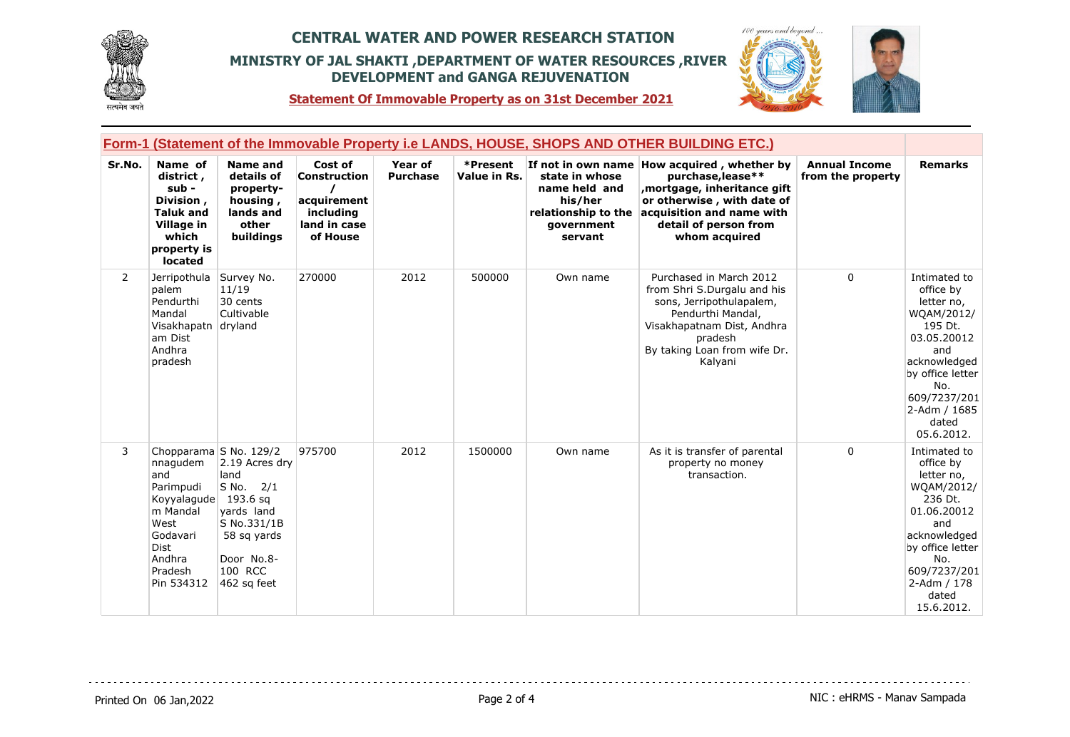



**Statement Of Immovable Property as on 31st December 2021**

|                | Form-1 (Statement of the Immovable Property i.e LANDS, HOUSE, SHOPS AND OTHER BUILDING ETC.)                                    |                                                                                                                                                   |                                                                                        |                                   |                          |                                                                                            |                                                                                                                                                                                                       |                                           |                                                                                                                                                                                          |
|----------------|---------------------------------------------------------------------------------------------------------------------------------|---------------------------------------------------------------------------------------------------------------------------------------------------|----------------------------------------------------------------------------------------|-----------------------------------|--------------------------|--------------------------------------------------------------------------------------------|-------------------------------------------------------------------------------------------------------------------------------------------------------------------------------------------------------|-------------------------------------------|------------------------------------------------------------------------------------------------------------------------------------------------------------------------------------------|
| Sr.No.         | Name of<br>district,<br>sub -<br>Division,<br><b>Taluk and</b><br><b>Village in</b><br>which<br>property is<br><b>located</b>   | <b>Name and</b><br>details of<br>property-<br>housing,<br>lands and<br>other<br>buildings                                                         | Cost of<br><b>Construction</b><br>acquirement<br>including<br>land in case<br>of House | <b>Year of</b><br><b>Purchase</b> | *Present<br>Value in Rs. | state in whose<br>name held and<br>his/her<br>relationship to the<br>government<br>servant | If not in own name How acquired, whether by<br>purchase, lease**<br>, mortgage, inheritance gift<br>or otherwise, with date of<br>acquisition and name with<br>detail of person from<br>whom acquired | <b>Annual Income</b><br>from the property | <b>Remarks</b>                                                                                                                                                                           |
| $\overline{2}$ | Jerripothula<br>palem<br>Pendurthi<br>Mandal<br>Visakhapatn dryland<br>am Dist<br>Andhra<br>pradesh                             | Survey No.<br>11/19<br>30 cents<br>Cultivable                                                                                                     | 270000                                                                                 | 2012                              | 500000                   | Own name                                                                                   | Purchased in March 2012<br>from Shri S.Durgalu and his<br>sons, Jerripothulapalem,<br>Pendurthi Mandal,<br>Visakhapatnam Dist, Andhra<br>pradesh<br>By taking Loan from wife Dr.<br>Kalyani           | $\mathbf 0$                               | Intimated to<br>office by<br>letter no,<br>WQAM/2012/<br>195 Dt.<br>03.05.20012<br>and<br>acknowledged<br>by office letter<br>No.<br>609/7237/201<br>2-Adm / 1685<br>dated<br>05.6.2012. |
| 3              | nnagudem<br>and<br>Parimpudi<br>Koyyalaqude 193.6 sq<br>m Mandal<br>West<br>Godavari<br>Dist<br>Andhra<br>Pradesh<br>Pin 534312 | Chopparama S No. 129/2<br>2.19 Acres dry<br>land<br>S No. 2/1<br>vards land<br>S No.331/1B<br>58 sq yards<br>Door No.8-<br>100 RCC<br>462 sq feet | 975700                                                                                 | 2012                              | 1500000                  | Own name                                                                                   | As it is transfer of parental<br>property no money<br>transaction.                                                                                                                                    | $\mathbf 0$                               | Intimated to<br>office by<br>letter no,<br>WQAM/2012/<br>236 Dt.<br>01.06.20012<br>and<br>acknowledged<br>by office letter<br>No.<br>609/7237/201<br>2-Adm / 178<br>dated<br>15.6.2012.  |

<u>. . . . . . . . .</u>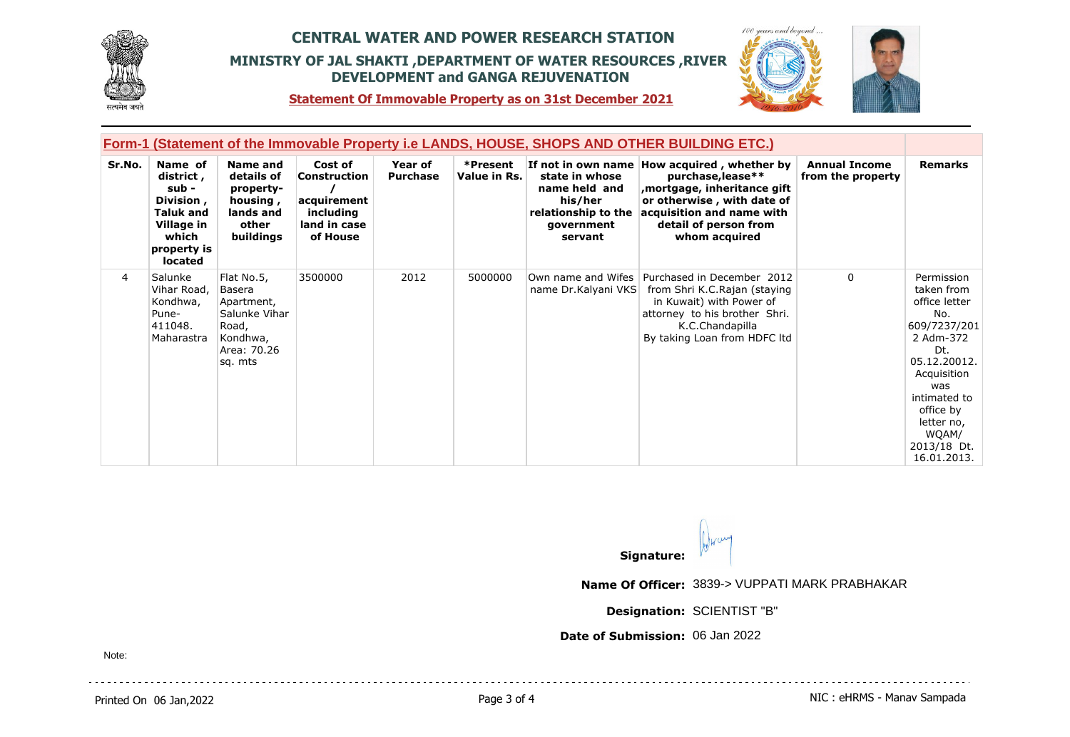



 $100$ 

**Statement Of Immovable Property as on 31st December 2021**

| <b>Form-1 (Statement of the Immovable Property i.e LANDS, HOUSE, SHOPS AND OTHER BUILDING ETC.)</b> |                                                                                                                         |                                                                                                    |                                                                                 |                            |                          |                                                                                            |                                                                                                                                                                                                      |                                           |                                                                                                                                                                                                              |
|-----------------------------------------------------------------------------------------------------|-------------------------------------------------------------------------------------------------------------------------|----------------------------------------------------------------------------------------------------|---------------------------------------------------------------------------------|----------------------------|--------------------------|--------------------------------------------------------------------------------------------|------------------------------------------------------------------------------------------------------------------------------------------------------------------------------------------------------|-------------------------------------------|--------------------------------------------------------------------------------------------------------------------------------------------------------------------------------------------------------------|
| Sr.No.                                                                                              | Name of<br>district ,<br>sub -<br>Division,<br><b>Taluk and</b><br>Village in<br>which<br>property is<br><b>located</b> | Name and<br>details of<br>property-<br>housing,<br>lands and<br>other<br>buildings                 | Cost of<br>Construction<br>acquirement<br>including<br>land in case<br>of House | Year of<br><b>Purchase</b> | *Present<br>Value in Rs. | state in whose<br>name held and<br>his/her<br>relationship to the<br>government<br>servant | If not in own name How acquired, whether by<br>purchase, lease**<br>mortgage, inheritance gift,<br>or otherwise, with date of<br>acquisition and name with<br>detail of person from<br>whom acquired | <b>Annual Income</b><br>from the property | <b>Remarks</b>                                                                                                                                                                                               |
| $\overline{4}$                                                                                      | Salunke<br>Vihar Road,<br>Kondhwa,<br>Pune-<br>411048.<br>Maharastra                                                    | Flat No.5,<br>Basera<br>Apartment,<br>Salunke Vihar<br>Road,<br>Kondhwa,<br>Area: 70.26<br>sq. mts | 3500000                                                                         | 2012                       | 5000000                  | name Dr.Kalyani VKS                                                                        | Own name and Wifes   Purchased in December 2012<br>from Shri K.C.Rajan (staying<br>in Kuwait) with Power of<br>attorney to his brother Shri.<br>K.C.Chandapilla<br>By taking Loan from HDFC ltd      | $\mathbf{0}$                              | Permission<br>taken from<br>office letter<br>No.<br>609/7237/201<br>2 Adm-372<br>Dt.<br>05.12.20012.<br>Acquisition<br>was<br>intimated to<br>office by<br>letter no,<br>WQAM/<br>2013/18 Dt.<br>16.01.2013. |

**Signature:**

**Name Of Officer:** 3839-> VUPPATI MARK PRABHAKAR

**Designation:** SCIENTIST "B"

**Date of Submission:** 06 Jan 2022

Note: